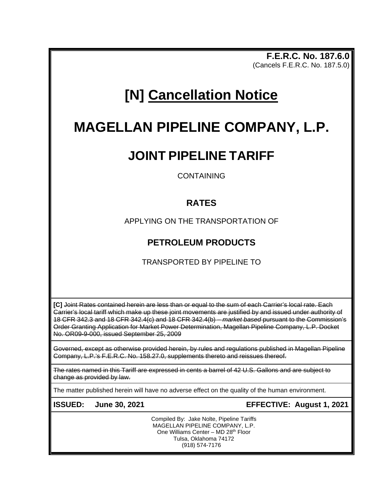**F.E.R.C. No. 187.6.0** (Cancels F.E.R.C. No. 187.5.0)

# **[N] Cancellation Notice**

# **MAGELLAN PIPELINE COMPANY, L.P.**

# **JOINT PIPELINE TARIFF**

CONTAINING

## **RATES**

APPLYING ON THE TRANSPORTATION OF

## **PETROLEUM PRODUCTS**

TRANSPORTED BY PIPELINE TO

**[C]** Joint Rates contained herein are less than or equal to the sum of each Carrier's local rate. Each Carrier's local tariff which make up these joint movements are justified by and issued under authority of 18 CFR 342.3 and 18 CFR 342.4(c) and 18 CFR 342.4(b) – *market based* pursuant to the Commission's Order Granting Application for Market Power Determination, Magellan Pipeline Company, L.P. Docket No. OR09-9-000, issued September 25, 2009

Governed, except as otherwise provided herein, by rules and regulations published in Magellan Pipeline Company, L.P.'s F.E.R.C. No. 158.27.0, supplements thereto and reissues thereof.

The rates named in this Tariff are expressed in cents a barrel of 42 U.S. Gallons and are subject to change as provided by law.

The matter published herein will have no adverse effect on the quality of the human environment.

**ISSUED: June 30, 2021 EFFECTIVE: August 1, 2021**

Compiled By: Jake Nolte, Pipeline Tariffs MAGELLAN PIPELINE COMPANY, L.P. One Williams Center - MD 28<sup>th</sup> Floor Tulsa, Oklahoma 74172 (918) 574-7176